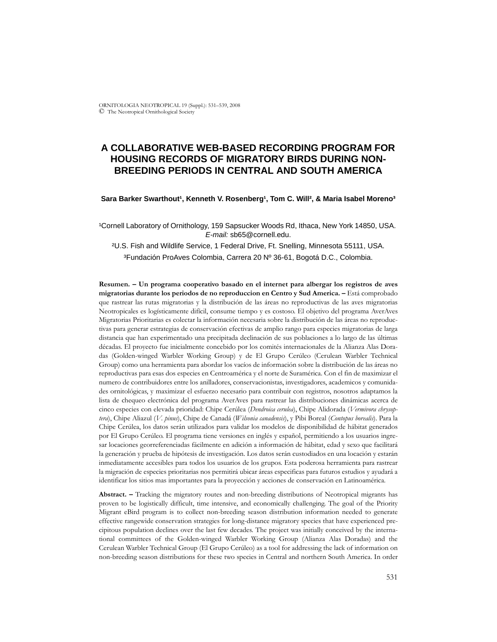# **A COLLABORATIVE WEB-BASED RECORDING PROGRAM FOR HOUSING RECORDS OF MIGRATORY BIRDS DURING NON-BREEDING PERIODS IN CENTRAL AND SOUTH AMERICA**

### Sara Barker Swarthout<sup>1</sup>, Kenneth V. Rosenberg<sup>1</sup>, Tom C. Will<sup>2</sup>, & Maria Isabel Moreno<sup>3</sup>

<sup>1</sup>Cornell Laboratory of Ornithology, 159 Sapsucker Woods Rd, Ithaca, New York 14850, USA. *E-mail:* sb65@cornell.edu.

²U.S. Fish and Wildlife Service, 1 Federal Drive, Ft. Snelling, Minnesota 55111, USA. ³Fundación ProAves Colombia, Carrera 20 Nº 36-61, Bogotá D.C., Colombia.

**Resumen. – Un programa cooperativo basado en el internet para albergar los registros de aves migratorias durante los periodos de no reproduccion en Centro y Sud America. –** Está comprobado que rastrear las rutas migratorias y la distribución de las áreas no reproductivas de las aves migratorias Neotropicales es logísticamente difícil, consume tiempo y es costoso. El objetivo del programa AverAves Migratorias Prioritarias es colectar la información necesaria sobre la distribución de las áreas no reproductivas para generar estrategias de conservación efectivas de amplio rango para especies migratorias de larga distancia que han experimentado una precipitada declinación de sus poblaciones a lo largo de las últimas décadas. El proyecto fue inicialmente concebido por los comités internacionales de la Alianza Alas Doradas (Golden-winged Warbler Working Group) y de El Grupo Cerúleo (Cerulean Warbler Technical Group) como una herramienta para abordar los vacíos de información sobre la distribución de las áreas no reproductivas para esas dos especies en Centroamérica y el norte de Suramérica. Con el fin de maximizar el numero de contribuidores entre los anilladores, conservacionistas, investigadores, academicos y comunidades ornitológicas, y maximizar el esfuerzo necesario para contribuir con registros, nosotros adaptamos la lista de chequeo electrónica del programa AverAves para rastrear las distribuciones dinámicas acerca de cinco especies con elevada prioridad: Chipe Cerúlea (*Dendroica cerulea*), Chipe Alidorada (*Vermivora chrysoptera*), Chipe Aliazul (*V. pinus*), Chipe de Canadá (*Wilsonia canadensis*), y Pibi Boreal (*Contopus borealis*). Para la Chipe Cerúlea, los datos serán utilizados para validar los modelos de disponibilidad de hábitat generados por El Grupo Cerúleo. El programa tiene versiones en inglés y español, permitiendo a los usuarios ingresar locaciones georreferenciadas fácilmente en adición a información de hábitat, edad y sexo que facilitará la generación y prueba de hipótesis de investigación. Los datos serán custodiados en una locación y estarán inmediatamente accesibles para todos los usuarios de los grupos. Esta poderosa herramienta para rastrear la migración de especies prioritarias nos permitirá ubicar áreas especificas para futuros estudios y ayudará a identificar los sitios mas importantes para la proyección y acciones de conservación en Latinoamérica.

**Abstract. –** Tracking the migratory routes and non-breeding distributions of Neotropical migrants has proven to be logistically difficult, time intensive, and economically challenging. The goal of the Priority Migrant eBird program is to collect non-breeding season distribution information needed to generate effective rangewide conservation strategies for long-distance migratory species that have experienced precipitous population declines over the last few decades. The project was initially conceived by the international committees of the Golden-winged Warbler Working Group (Alianza Alas Doradas) and the Cerulean Warbler Technical Group (El Grupo Cerúleo) as a tool for addressing the lack of information on non-breeding season distributions for these two species in Central and northern South America. In order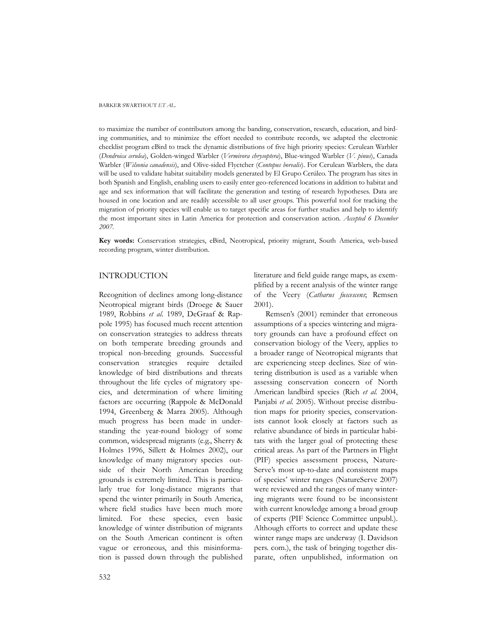to maximize the number of contributors among the banding, conservation, research, education, and birding communities, and to minimize the effort needed to contribute records, we adapted the electronic checklist program eBird to track the dynamic distributions of five high priority species: Cerulean Warbler (*Dendroica cerulea*), Golden-winged Warbler (*Vermivora chrysoptera*), Blue-winged Warbler (*V. pinus*), Canada Warbler (*Wilsonia canadensis*), and Olive-sided Flyctcher (*Contopus borealis*). For Cerulean Warblers, the data will be used to validate habitat suitability models generated by El Grupo Cerúleo. The program has sites in both Spanish and English, enabling users to easily enter geo-referenced locations in addition to habitat and age and sex information that will facilitate the generation and testing of research hypotheses. Data are housed in one location and are readily accessible to all user groups. This powerful tool for tracking the migration of priority species will enable us to target specific areas for further studies and help to identify the most important sites in Latin America for protection and conservation action. *Accepted 6 December 2007.*

**Key words:** Conservation strategies, eBird, Neotropical, priority migrant, South America, web-based recording program, winter distribution.

# INTRODUCTION

Recognition of declines among long-distance Neotropical migrant birds (Droege & Sauer 1989, Robbins *et al*. 1989, DeGraaf & Rappole 1995) has focused much recent attention on conservation strategies to address threats on both temperate breeding grounds and tropical non-breeding grounds. Successful conservation strategies require detailed knowledge of bird distributions and threats throughout the life cycles of migratory species, and determination of where limiting factors are occurring (Rappole & McDonald 1994, Greenberg & Marra 2005). Although much progress has been made in understanding the year-round biology of some common, widespread migrants (e.g., Sherry & Holmes 1996, Sillett & Holmes 2002), our knowledge of many migratory species outside of their North American breeding grounds is extremely limited. This is particularly true for long-distance migrants that spend the winter primarily in South America, where field studies have been much more limited. For these species, even basic knowledge of winter distribution of migrants on the South American continent is often vague or erroneous, and this misinformation is passed down through the published literature and field guide range maps, as exemplified by a recent analysis of the winter range of the Veery (*Catharus fuscescens*; Remsen 2001).

Remsen's (2001) reminder that erroneous assumptions of a species wintering and migratory grounds can have a profound effect on conservation biology of the Veery, applies to a broader range of Neotropical migrants that are experiencing steep declines. Size of wintering distribution is used as a variable when assessing conservation concern of North American landbird species (Rich *et al.* 2004, Panjabi *et al.* 2005). Without precise distribution maps for priority species, conservationists cannot look closely at factors such as relative abundance of birds in particular habitats with the larger goal of protecting these critical areas. As part of the Partners in Flight (PIF) species assessment process, Nature-Serve's most up-to-date and consistent maps of species' winter ranges (NatureServe 2007) were reviewed and the ranges of many wintering migrants were found to be inconsistent with current knowledge among a broad group of experts (PIF Science Committee unpubl.). Although efforts to correct and update these winter range maps are underway (I. Davidson pers. com.), the task of bringing together disparate, often unpublished, information on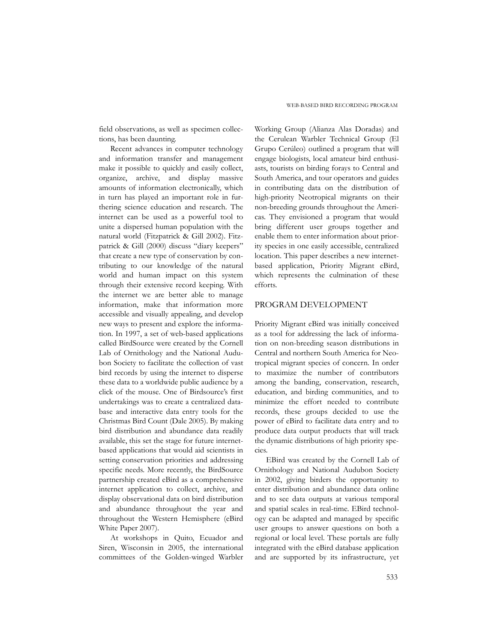field observations, as well as specimen collections, has been daunting.

Recent advances in computer technology and information transfer and management make it possible to quickly and easily collect, organize, archive, and display massive amounts of information electronically, which in turn has played an important role in furthering science education and research. The internet can be used as a powerful tool to unite a dispersed human population with the natural world (Fitzpatrick & Gill 2002). Fitzpatrick & Gill (2000) discuss "diary keepers" that create a new type of conservation by contributing to our knowledge of the natural world and human impact on this system through their extensive record keeping. With the internet we are better able to manage information, make that information more accessible and visually appealing, and develop new ways to present and explore the information. In 1997, a set of web-based applications called BirdSource were created by the Cornell Lab of Ornithology and the National Audubon Society to facilitate the collection of vast bird records by using the internet to disperse these data to a worldwide public audience by a click of the mouse. One of Birdsource's first undertakings was to create a centralized database and interactive data entry tools for the Christmas Bird Count (Dale 2005). By making bird distribution and abundance data readily available, this set the stage for future internetbased applications that would aid scientists in setting conservation priorities and addressing specific needs. More recently, the BirdSource partnership created eBird as a comprehensive internet application to collect, archive, and display observational data on bird distribution and abundance throughout the year and throughout the Western Hemisphere (eBird White Paper 2007).

At workshops in Quito, Ecuador and Siren, Wisconsin in 2005, the international committees of the Golden-winged Warbler

Working Group (Alianza Alas Doradas) and the Cerulean Warbler Technical Group (El Grupo Cerúleo) outlined a program that will engage biologists, local amateur bird enthusiasts, tourists on birding forays to Central and South America, and tour operators and guides in contributing data on the distribution of high-priority Neotropical migrants on their non-breeding grounds throughout the Americas. They envisioned a program that would bring different user groups together and enable them to enter information about priority species in one easily accessible, centralized location. This paper describes a new internetbased application, Priority Migrant eBird, which represents the culmination of these efforts.

# PROGRAM DEVELOPMENT

Priority Migrant eBird was initially conceived as a tool for addressing the lack of information on non-breeding season distributions in Central and northern South America for Neotropical migrant species of concern. In order to maximize the number of contributors among the banding, conservation, research, education, and birding communities, and to minimize the effort needed to contribute records, these groups decided to use the power of eBird to facilitate data entry and to produce data output products that will track the dynamic distributions of high priority species.

EBird was created by the Cornell Lab of Ornithology and National Audubon Society in 2002, giving birders the opportunity to enter distribution and abundance data online and to see data outputs at various temporal and spatial scales in real-time. EBird technology can be adapted and managed by specific user groups to answer questions on both a regional or local level. These portals are fully integrated with the eBird database application and are supported by its infrastructure, yet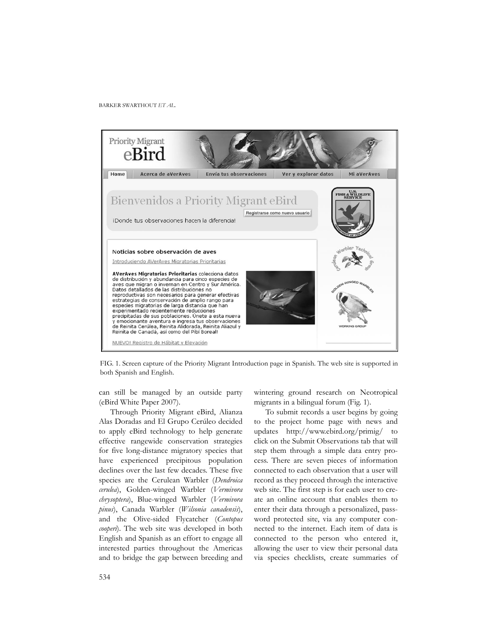

FIG. 1. Screen capture of the Priority Migrant Introduction page in Spanish. The web site is supported in both Spanish and English.

can still be managed by an outside party (eBird White Paper 2007).

Through Priority Migrant eBird, Alianza Alas Doradas and El Grupo Cerúleo decided to apply eBird technology to help generate effective rangewide conservation strategies for five long-distance migratory species that have experienced precipitous population declines over the last few decades. These five species are the Cerulean Warbler (*Dendroica cerulea*), Golden-winged Warbler (*Vermivora chrysoptera*), Blue-winged Warbler (*Vermivora pinus*), Canada Warbler (*Wilsonia canadensis*), and the Olive-sided Flycatcher (*Contopus cooperi*). The web site was developed in both English and Spanish as an effort to engage all interested parties throughout the Americas and to bridge the gap between breeding and wintering ground research on Neotropical migrants in a bilingual forum (Fig. 1).

To submit records a user begins by going to the project home page with news and updates http://www.ebird.org/primig/ to click on the Submit Observations tab that will step them through a simple data entry process. There are seven pieces of information connected to each observation that a user will record as they proceed through the interactive web site. The first step is for each user to create an online account that enables them to enter their data through a personalized, password protected site, via any computer connected to the internet. Each item of data is connected to the person who entered it, allowing the user to view their personal data via species checklists, create summaries of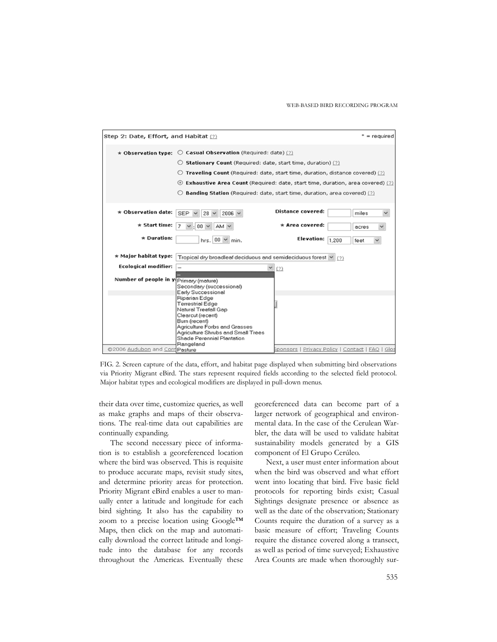

FIG. 2. Screen capture of the data, effort, and habitat page displayed when submitting bird observations via Priority Migrant eBird. The stars represent required fields according to the selected field protocol. Major habitat types and ecological modifiers are displayed in pull-down menus.

their data over time, customize queries, as well as make graphs and maps of their observations. The real-time data out capabilities are continually expanding.

The second necessary piece of information is to establish a georeferenced location where the bird was observed. This is requisite to produce accurate maps, revisit study sites, and determine priority areas for protection. Priority Migrant eBird enables a user to manually enter a latitude and longitude for each bird sighting. It also has the capability to zoom to a precise location using Google™ Maps, then click on the map and automatically download the correct latitude and longitude into the database for any records throughout the Americas. Eventually these

georeferenced data can become part of a larger network of geographical and environmental data. In the case of the Cerulean Warbler, the data will be used to validate habitat sustainability models generated by a GIS component of El Grupo Cerúleo.

Next, a user must enter information about when the bird was observed and what effort went into locating that bird. Five basic field protocols for reporting birds exist; Casual Sightings designate presence or absence as well as the date of the observation; Stationary Counts require the duration of a survey as a basic measure of effort; Traveling Counts require the distance covered along a transect, as well as period of time surveyed; Exhaustive Area Counts are made when thoroughly sur-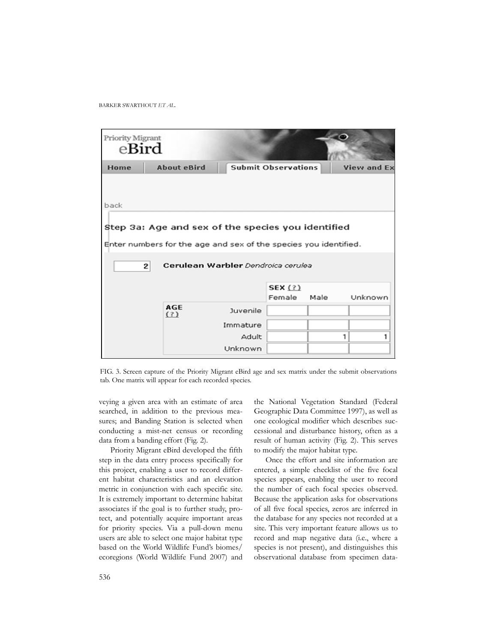

FIG. 3. Screen capture of the Priority Migrant eBird age and sex matrix under the submit observations tab. One matrix will appear for each recorded species.

veying a given area with an estimate of area searched, in addition to the previous measures; and Banding Station is selected when conducting a mist-net census or recording data from a banding effort (Fig. 2).

Priority Migrant eBird developed the fifth step in the data entry process specifically for this project, enabling a user to record different habitat characteristics and an elevation metric in conjunction with each specific site. It is extremely important to determine habitat associates if the goal is to further study, protect, and potentially acquire important areas for priority species. Via a pull-down menu users are able to select one major habitat type based on the World Wildlife Fund's biomes/ ecoregions (World Wildlife Fund 2007) and the National Vegetation Standard (Federal Geographic Data Committee 1997), as well as one ecological modifier which describes successional and disturbance history, often as a result of human activity (Fig. 2). This serves to modify the major habitat type.

Once the effort and site information are entered, a simple checklist of the five focal species appears, enabling the user to record the number of each focal species observed. Because the application asks for observations of all five focal species, zeros are inferred in the database for any species not recorded at a site. This very important feature allows us to record and map negative data (i.e., where a species is not present), and distinguishes this observational database from specimen data-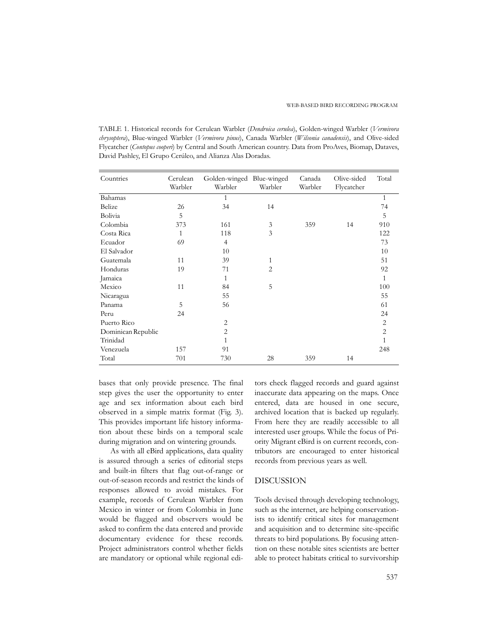TABLE 1. Historical records for Cerulean Warbler (*Dendroica cerulea*), Golden-winged Warbler (*Vermivora chrysoptera*), Blue-winged Warbler (*Vermivora pinus*), Canada Warbler (*Wilsonia canadensis*), and Olive-sided Flycatcher (*Contopus cooperi*) by Central and South American country. Data from ProAves, Biomap, Dataves, David Pashley, El Grupo Cerúleo, and Alianza Alas Doradas.

| Countries          | Cerulean<br>Warbler | Golden-winged Blue-winged<br>Warbler | Warbler        | Canada<br>Warbler | Olive-sided<br>Flycatcher | Total          |
|--------------------|---------------------|--------------------------------------|----------------|-------------------|---------------------------|----------------|
| Bahamas            |                     | $\mathbf{1}$                         |                |                   |                           | $\mathbf{1}$   |
| Belize             | 26                  | 34                                   | 14             |                   |                           | 74             |
| Bolivia            | 5                   |                                      |                |                   |                           | 5              |
| Colombia           | 373                 | 161                                  | 3              | 359               | 14                        | 910            |
| Costa Rica         | 1                   | 118                                  | 3              |                   |                           | 122            |
| Ecuador            | 69                  | $\overline{4}$                       |                |                   |                           | 73             |
| El Salvador        |                     | 10                                   |                |                   |                           | 10             |
| Guatemala          | 11                  | 39                                   | 1              |                   |                           | 51             |
| Honduras           | 19                  | 71                                   | $\overline{2}$ |                   |                           | 92             |
| Jamaica            |                     | 1                                    |                |                   |                           | 1              |
| Mexico             | 11                  | 84                                   | 5              |                   |                           | 100            |
| Nicaragua          |                     | 55                                   |                |                   |                           | 55             |
| Panama             | 5                   | 56                                   |                |                   |                           | 61             |
| Peru               | 24                  |                                      |                |                   |                           | 24             |
| Puerto Rico        |                     | 2                                    |                |                   |                           | $\overline{2}$ |
| Dominican Republic |                     | $\overline{2}$                       |                |                   |                           | $\overline{2}$ |
| Trinidad           |                     | 1                                    |                |                   |                           | 1              |
| Venezuela          | 157                 | 91                                   |                |                   |                           | 248            |
| Total              | 701                 | 730                                  | 28             | 359               | 14                        |                |

bases that only provide presence. The final step gives the user the opportunity to enter age and sex information about each bird observed in a simple matrix format (Fig. 3). This provides important life history information about these birds on a temporal scale during migration and on wintering grounds.

As with all eBird applications, data quality is assured through a series of editorial steps and built-in filters that flag out-of-range or out-of-season records and restrict the kinds of responses allowed to avoid mistakes. For example, records of Cerulean Warbler from Mexico in winter or from Colombia in June would be flagged and observers would be asked to confirm the data entered and provide documentary evidence for these records. Project administrators control whether fields are mandatory or optional while regional edi-

tors check flagged records and guard against inaccurate data appearing on the maps. Once entered, data are housed in one secure, archived location that is backed up regularly. From here they are readily accessible to all interested user groups. While the focus of Priority Migrant eBird is on current records, contributors are encouraged to enter historical records from previous years as well.

# DISCUSSION

Tools devised through developing technology, such as the internet, are helping conservationists to identify critical sites for management and acquisition and to determine site-specific threats to bird populations. By focusing attention on these notable sites scientists are better able to protect habitats critical to survivorship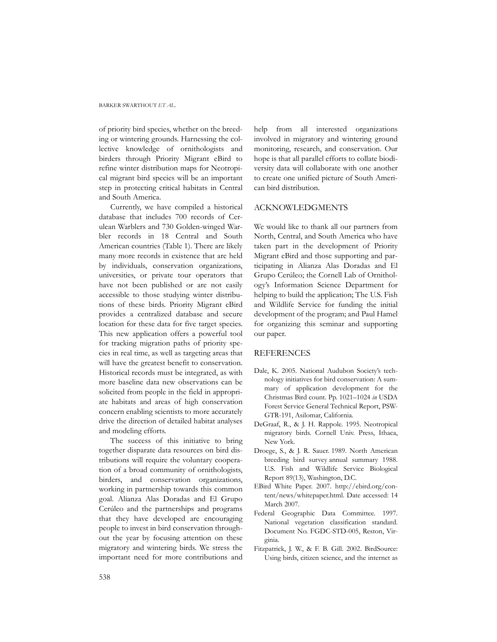of priority bird species, whether on the breeding or wintering grounds. Harnessing the collective knowledge of ornithologists and birders through Priority Migrant eBird to refine winter distribution maps for Neotropical migrant bird species will be an important step in protecting critical habitats in Central and South America.

Currently, we have compiled a historical database that includes 700 records of Cerulean Warblers and 730 Golden-winged Warbler records in 18 Central and South American countries (Table 1). There are likely many more records in existence that are held by individuals, conservation organizations, universities, or private tour operators that have not been published or are not easily accessible to those studying winter distributions of these birds. Priority Migrant eBird provides a centralized database and secure location for these data for five target species. This new application offers a powerful tool for tracking migration paths of priority species in real time, as well as targeting areas that will have the greatest benefit to conservation. Historical records must be integrated, as with more baseline data new observations can be solicited from people in the field in appropriate habitats and areas of high conservation concern enabling scientists to more accurately drive the direction of detailed habitat analyses and modeling efforts.

The success of this initiative to bring together disparate data resources on bird distributions will require the voluntary cooperation of a broad community of ornithologists, birders, and conservation organizations, working in partnership towards this common goal. Alianza Alas Doradas and El Grupo Cerúleo and the partnerships and programs that they have developed are encouraging people to invest in bird conservation throughout the year by focusing attention on these migratory and wintering birds. We stress the important need for more contributions and

help from all interested organizations involved in migratory and wintering ground monitoring, research, and conservation. Our hope is that all parallel efforts to collate biodiversity data will collaborate with one another to create one unified picture of South American bird distribution.

# ACKNOWLEDGMENTS

We would like to thank all our partners from North, Central, and South America who have taken part in the development of Priority Migrant eBird and those supporting and participating in Alianza Alas Doradas and El Grupo Cerúleo; the Cornell Lab of Ornithology's Information Science Department for helping to build the application; The U.S. Fish and Wildlife Service for funding the initial development of the program; and Paul Hamel for organizing this seminar and supporting our paper.

# REFERENCES

- Dale, K. 2005. National Audubon Society's technology initiatives for bird conservation: A summary of application development for the Christmas Bird count. Pp. 1021–1024 *in* USDA Forest Service General Technical Report, PSW-GTR-191, Asilomar, California.
- DeGraaf, R., & J. H. Rappole. 1995. Neotropical migratory birds. Cornell Univ. Press, Ithaca, New York.
- Droege, S., & J. R. Sauer. 1989. North American breeding bird survey annual summary 1988. U.S. Fish and Wildlife Service Biological Report 89(13), Washington, D.C.
- EBird White Paper. 2007. http://ebird.org/content/news/whitepaper.html. Date accessed: 14 March 2007.
- Federal Geographic Data Committee. 1997. National vegetation classification standard. Document No. FGDC-STD-005, Reston, Virginia.
- Fitzpatrick, J. W., & F. B. Gill. 2002. BirdSource: Using birds, citizen science, and the internet as